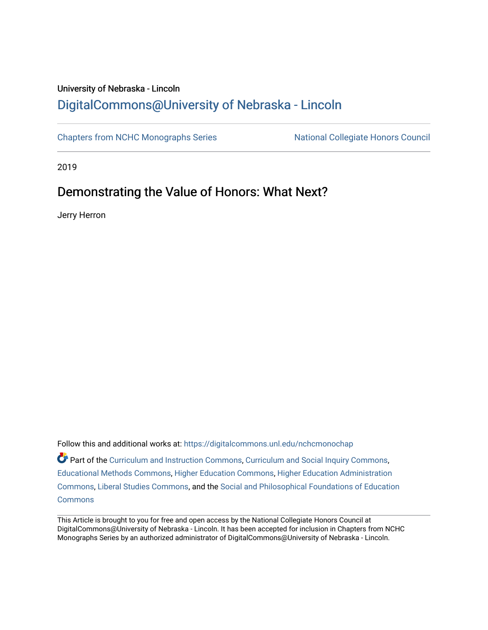## University of Nebraska - Lincoln [DigitalCommons@University of Nebraska - Lincoln](https://digitalcommons.unl.edu/)

[Chapters from NCHC Monographs Series](https://digitalcommons.unl.edu/nchcmonochap) National Collegiate Honors Council

2019

## Demonstrating the Value of Honors: What Next?

Jerry Herron

Follow this and additional works at: [https://digitalcommons.unl.edu/nchcmonochap](https://digitalcommons.unl.edu/nchcmonochap?utm_source=digitalcommons.unl.edu%2Fnchcmonochap%2F54&utm_medium=PDF&utm_campaign=PDFCoverPages)   $\bullet$  Part of the [Curriculum and Instruction Commons,](http://network.bepress.com/hgg/discipline/786?utm_source=digitalcommons.unl.edu%2Fnchcmonochap%2F54&utm_medium=PDF&utm_campaign=PDFCoverPages) [Curriculum and Social Inquiry Commons,](http://network.bepress.com/hgg/discipline/1038?utm_source=digitalcommons.unl.edu%2Fnchcmonochap%2F54&utm_medium=PDF&utm_campaign=PDFCoverPages) [Educational Methods Commons,](http://network.bepress.com/hgg/discipline/1227?utm_source=digitalcommons.unl.edu%2Fnchcmonochap%2F54&utm_medium=PDF&utm_campaign=PDFCoverPages) [Higher Education Commons,](http://network.bepress.com/hgg/discipline/1245?utm_source=digitalcommons.unl.edu%2Fnchcmonochap%2F54&utm_medium=PDF&utm_campaign=PDFCoverPages) [Higher Education Administration](http://network.bepress.com/hgg/discipline/791?utm_source=digitalcommons.unl.edu%2Fnchcmonochap%2F54&utm_medium=PDF&utm_campaign=PDFCoverPages) [Commons](http://network.bepress.com/hgg/discipline/791?utm_source=digitalcommons.unl.edu%2Fnchcmonochap%2F54&utm_medium=PDF&utm_campaign=PDFCoverPages), [Liberal Studies Commons,](http://network.bepress.com/hgg/discipline/1042?utm_source=digitalcommons.unl.edu%2Fnchcmonochap%2F54&utm_medium=PDF&utm_campaign=PDFCoverPages) and the [Social and Philosophical Foundations of Education](http://network.bepress.com/hgg/discipline/799?utm_source=digitalcommons.unl.edu%2Fnchcmonochap%2F54&utm_medium=PDF&utm_campaign=PDFCoverPages)  **[Commons](http://network.bepress.com/hgg/discipline/799?utm_source=digitalcommons.unl.edu%2Fnchcmonochap%2F54&utm_medium=PDF&utm_campaign=PDFCoverPages)** 

This Article is brought to you for free and open access by the National Collegiate Honors Council at DigitalCommons@University of Nebraska - Lincoln. It has been accepted for inclusion in Chapters from NCHC Monographs Series by an authorized administrator of DigitalCommons@University of Nebraska - Lincoln.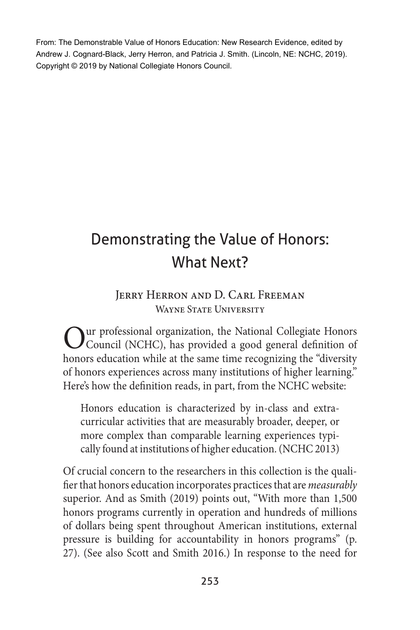From: The Demonstrable Value of Honors Education: New Research Evidence, edited by Andrew J. Cognard-Black, Jerry Herron, and Patricia J. Smith. (Lincoln, NE: NCHC, 2019). Copyright © 2019 by National Collegiate Honors Council.

# Demonstrating the Value of Honors: What Next?

#### Jerry Herron and D. Carl Freeman WAYNE STATE UNIVERSITY

Our professional organization, the National Collegiate Honors Council (NCHC), has provided a good general definition of honors education while at the same time recognizing the "diversity of honors experiences across many institutions of higher learning." Here's how the definition reads, in part, from the NCHC website:

Honors education is characterized by in-class and extracurricular activities that are measurably broader, deeper, or more complex than comparable learning experiences typically found at institutions of higher education. (NCHC 2013)

Of crucial concern to the researchers in this collection is the qualifier that honors education incorporates practices that are *measurably* superior. And as Smith (2019) points out, "With more than 1,500 honors programs currently in operation and hundreds of millions of dollars being spent throughout American institutions, external pressure is building for accountability in honors programs" (p. 27). (See also Scott and Smith 2016.) In response to the need for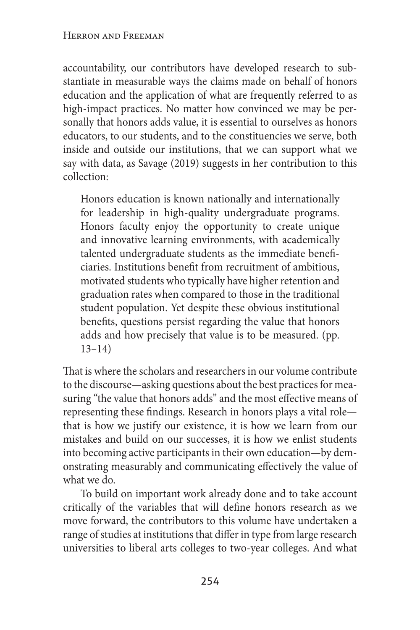accountability, our contributors have developed research to substantiate in measurable ways the claims made on behalf of honors education and the application of what are frequently referred to as high-impact practices. No matter how convinced we may be personally that honors adds value, it is essential to ourselves as honors educators, to our students, and to the constituencies we serve, both inside and outside our institutions, that we can support what we say with data, as Savage (2019) suggests in her contribution to this collection:

Honors education is known nationally and internationally for leadership in high-quality undergraduate programs. Honors faculty enjoy the opportunity to create unique and innovative learning environments, with academically talented undergraduate students as the immediate beneficiaries. Institutions benefit from recruitment of ambitious, motivated students who typically have higher retention and graduation rates when compared to those in the traditional student population. Yet despite these obvious institutional benefits, questions persist regarding the value that honors adds and how precisely that value is to be measured. (pp. 13–14)

That is where the scholars and researchers in our volume contribute to the discourse—asking questions about the best practices for measuring "the value that honors adds" and the most effective means of representing these findings. Research in honors plays a vital role that is how we justify our existence, it is how we learn from our mistakes and build on our successes, it is how we enlist students into becoming active participants in their own education—by demonstrating measurably and communicating effectively the value of what we do.

To build on important work already done and to take account critically of the variables that will define honors research as we move forward, the contributors to this volume have undertaken a range of studies at institutions that differ in type from large research universities to liberal arts colleges to two-year colleges. And what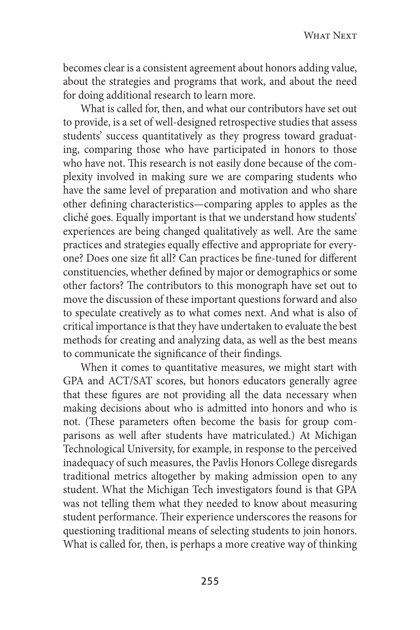becomes clear is a consistent agreement about honors adding value, about the strategies and programs that work, and about the need for doing additional research to learn more.

What is called for, then, and what our contributors have set out to provide, is a set of well-designed retrospective studies that assess students' success quantitatively as they progress toward graduating, comparing those who have participated in honors to those who have not. This research is not easily done because of the complexity involved in making sure we are comparing students who have the same level of preparation and motivation and who share other defining characteristics—comparing apples to apples as the cliché goes. Equally important is that we understand how students' experiences are being changed qualitatively as well. Are the same practices and strategies equally effective and appropriate for everyone? Does one size fit all? Can practices be fine-tuned for different constituencies, whether defined by major or demographics or some other factors? The contributors to this monograph have set out to move the discussion of these important questions forward and also to speculate creatively as to what comes next. And what is also of critical importance is that they have undertaken to evaluate the best methods for creating and analyzing data, as well as the best means to communicate the significance of their findings.

When it comes to quantitative measures, we might start with GPA and ACT/SAT scores, but honors educators generally agree that these figures are not providing all the data necessary when making decisions about who is admitted into honors and who is not. (These parameters often become the basis for group comparisons as well after students have matriculated.) At Michigan Technological University, for example, in response to the perceived inadequacy of such measures, the Pavlis Honors College disregards traditional metrics altogether by making admission open to any student. What the Michigan Tech investigators found is that GPA was not telling them what they needed to know about measuring student performance. Their experience underscores the reasons for questioning traditional means of selecting students to join honors. What is called for, then, is perhaps a more creative way of thinking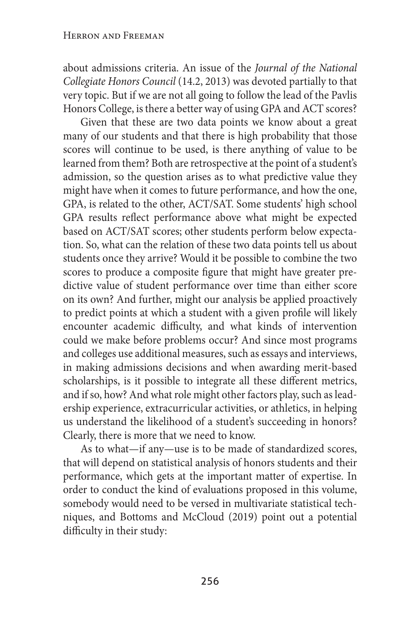about admissions criteria. An issue of the *Journal of the National Collegiate Honors Council* (14.2, 2013) was devoted partially to that very topic. But if we are not all going to follow the lead of the Pavlis Honors College, is there a better way of using GPA and ACT scores?

Given that these are two data points we know about a great many of our students and that there is high probability that those scores will continue to be used, is there anything of value to be learned from them? Both are retrospective at the point of a student's admission, so the question arises as to what predictive value they might have when it comes to future performance, and how the one, GPA, is related to the other, ACT/SAT. Some students' high school GPA results reflect performance above what might be expected based on ACT/SAT scores; other students perform below expectation. So, what can the relation of these two data points tell us about students once they arrive? Would it be possible to combine the two scores to produce a composite figure that might have greater predictive value of student performance over time than either score on its own? And further, might our analysis be applied proactively to predict points at which a student with a given profile will likely encounter academic difficulty, and what kinds of intervention could we make before problems occur? And since most programs and colleges use additional measures, such as essays and interviews, in making admissions decisions and when awarding merit-based scholarships, is it possible to integrate all these different metrics, and if so, how? And what role might other factors play, such as leadership experience, extracurricular activities, or athletics, in helping us understand the likelihood of a student's succeeding in honors? Clearly, there is more that we need to know.

As to what—if any—use is to be made of standardized scores, that will depend on statistical analysis of honors students and their performance, which gets at the important matter of expertise. In order to conduct the kind of evaluations proposed in this volume, somebody would need to be versed in multivariate statistical techniques, and Bottoms and McCloud (2019) point out a potential difficulty in their study: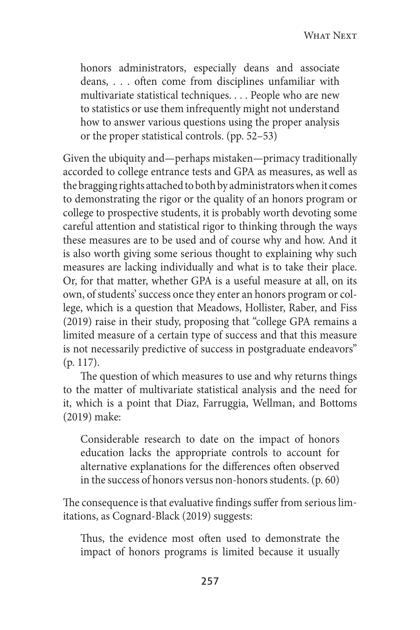WHAT NEXT

honors administrators, especially deans and associate deans, . . . often come from disciplines unfamiliar with multivariate statistical techniques. . . . People who are new to statistics or use them infrequently might not understand how to answer various questions using the proper analysis or the proper statistical controls. (pp. 52–53)

Given the ubiquity and—perhaps mistaken—primacy traditionally accorded to college entrance tests and GPA as measures, as well as the bragging rights attached to both by administrators when it comes to demonstrating the rigor or the quality of an honors program or college to prospective students, it is probably worth devoting some careful attention and statistical rigor to thinking through the ways these measures are to be used and of course why and how. And it is also worth giving some serious thought to explaining why such measures are lacking individually and what is to take their place. Or, for that matter, whether GPA is a useful measure at all, on its own, of students' success once they enter an honors program or college, which is a question that Meadows, Hollister, Raber, and Fiss (2019) raise in their study, proposing that "college GPA remains a limited measure of a certain type of success and that this measure is not necessarily predictive of success in postgraduate endeavors" (p. 117).

The question of which measures to use and why returns things to the matter of multivariate statistical analysis and the need for it, which is a point that Diaz, Farruggia, Wellman, and Bottoms (2019) make:

Considerable research to date on the impact of honors education lacks the appropriate controls to account for alternative explanations for the differences often observed in the success of honors versus non-honors students. (p. 60)

The consequence is that evaluative findings suffer from serious limitations, as Cognard-Black (2019) suggests:

Thus, the evidence most often used to demonstrate the impact of honors programs is limited because it usually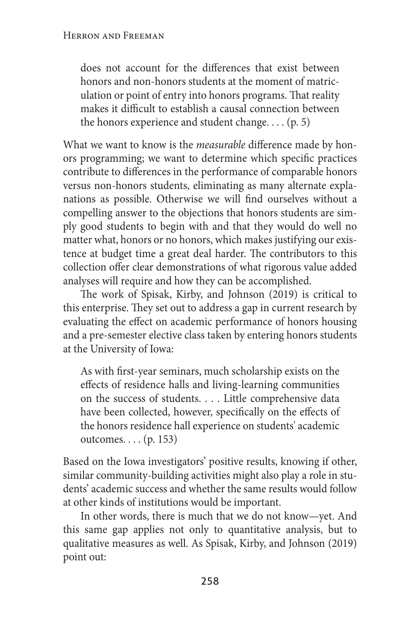does not account for the differences that exist between honors and non-honors students at the moment of matriculation or point of entry into honors programs. That reality makes it difficult to establish a causal connection between the honors experience and student change. . . . (p. 5)

What we want to know is the *measurable* difference made by honors programming; we want to determine which specific practices contribute to differences in the performance of comparable honors versus non-honors students, eliminating as many alternate explanations as possible. Otherwise we will find ourselves without a compelling answer to the objections that honors students are simply good students to begin with and that they would do well no matter what, honors or no honors, which makes justifying our existence at budget time a great deal harder. The contributors to this collection offer clear demonstrations of what rigorous value added analyses will require and how they can be accomplished.

The work of Spisak, Kirby, and Johnson (2019) is critical to this enterprise. They set out to address a gap in current research by evaluating the effect on academic performance of honors housing and a pre-semester elective class taken by entering honors students at the University of Iowa:

As with first-year seminars, much scholarship exists on the effects of residence halls and living-learning communities on the success of students. . . . Little comprehensive data have been collected, however, specifically on the effects of the honors residence hall experience on students' academic outcomes. . . . (p. 153)

Based on the Iowa investigators' positive results, knowing if other, similar community-building activities might also play a role in students' academic success and whether the same results would follow at other kinds of institutions would be important.

In other words, there is much that we do not know—yet. And this same gap applies not only to quantitative analysis, but to qualitative measures as well. As Spisak, Kirby, and Johnson (2019) point out: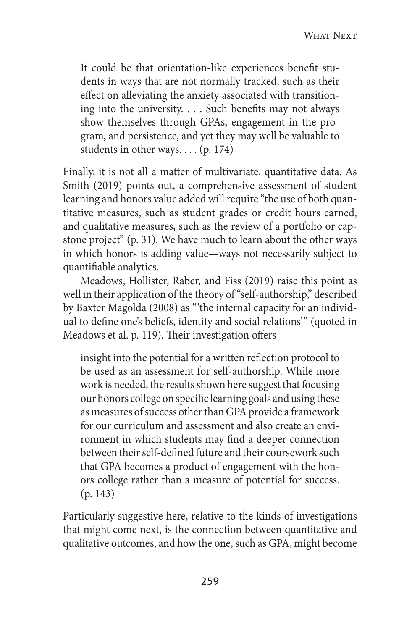It could be that orientation-like experiences benefit students in ways that are not normally tracked, such as their effect on alleviating the anxiety associated with transitioning into the university. . . . Such benefits may not always show themselves through GPAs, engagement in the program, and persistence, and yet they may well be valuable to students in other ways. . . . (p. 174)

Finally, it is not all a matter of multivariate, quantitative data. As Smith (2019) points out, a comprehensive assessment of student learning and honors value added will require "the use of both quantitative measures, such as student grades or credit hours earned, and qualitative measures, such as the review of a portfolio or capstone project" (p. 31). We have much to learn about the other ways in which honors is adding value—ways not necessarily subject to quantifiable analytics.

Meadows, Hollister, Raber, and Fiss (2019) raise this point as well in their application of the theory of "self-authorship," described by Baxter Magolda (2008) as "'the internal capacity for an individual to define one's beliefs, identity and social relations'" (quoted in Meadows et al. p. 119). Their investigation offers

insight into the potential for a written reflection protocol to be used as an assessment for self-authorship. While more work is needed, the results shown here suggest that focusing our honors college on specific learning goals and using these as measures of success other than GPA provide a framework for our curriculum and assessment and also create an environment in which students may find a deeper connection between their self-defined future and their coursework such that GPA becomes a product of engagement with the honors college rather than a measure of potential for success. (p. 143)

Particularly suggestive here, relative to the kinds of investigations that might come next, is the connection between quantitative and qualitative outcomes, and how the one, such as GPA, might become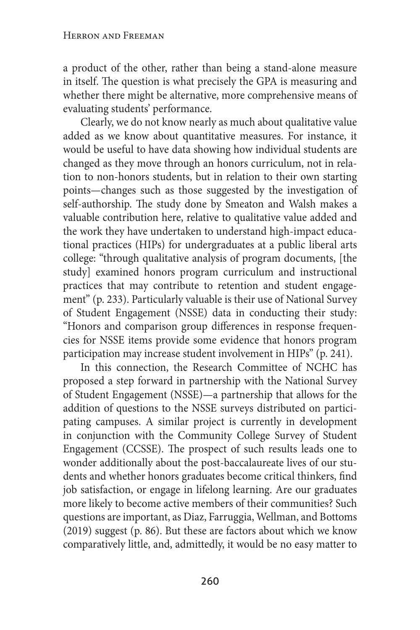#### Herron and Freeman

a product of the other, rather than being a stand-alone measure in itself. The question is what precisely the GPA is measuring and whether there might be alternative, more comprehensive means of evaluating students' performance.

Clearly, we do not know nearly as much about qualitative value added as we know about quantitative measures. For instance, it would be useful to have data showing how individual students are changed as they move through an honors curriculum, not in relation to non-honors students, but in relation to their own starting points—changes such as those suggested by the investigation of self-authorship. The study done by Smeaton and Walsh makes a valuable contribution here, relative to qualitative value added and the work they have undertaken to understand high-impact educational practices (HIPs) for undergraduates at a public liberal arts college: "through qualitative analysis of program documents, [the study] examined honors program curriculum and instructional practices that may contribute to retention and student engagement" (p. 233). Particularly valuable is their use of National Survey of Student Engagement (NSSE) data in conducting their study: "Honors and comparison group differences in response frequencies for NSSE items provide some evidence that honors program participation may increase student involvement in HIPs" (p. 241).

In this connection, the Research Committee of NCHC has proposed a step forward in partnership with the National Survey of Student Engagement (NSSE)—a partnership that allows for the addition of questions to the NSSE surveys distributed on participating campuses. A similar project is currently in development in conjunction with the Community College Survey of Student Engagement (CCSSE). The prospect of such results leads one to wonder additionally about the post-baccalaureate lives of our students and whether honors graduates become critical thinkers, find job satisfaction, or engage in lifelong learning. Are our graduates more likely to become active members of their communities? Such questions are important, as Diaz, Farruggia, Wellman, and Bottoms (2019) suggest (p. 86). But these are factors about which we know comparatively little, and, admittedly, it would be no easy matter to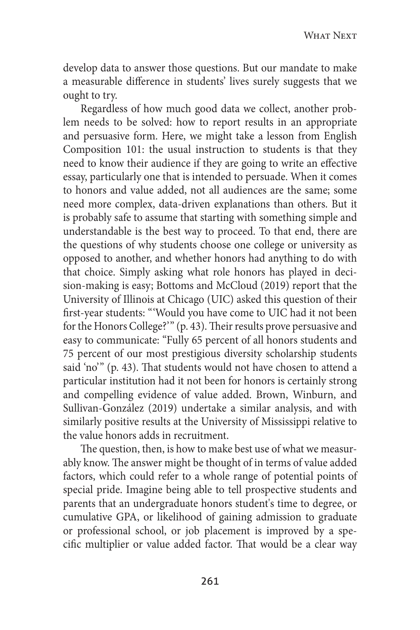develop data to answer those questions. But our mandate to make a measurable difference in students' lives surely suggests that we ought to try.

Regardless of how much good data we collect, another problem needs to be solved: how to report results in an appropriate and persuasive form. Here, we might take a lesson from English Composition 101: the usual instruction to students is that they need to know their audience if they are going to write an effective essay, particularly one that is intended to persuade. When it comes to honors and value added, not all audiences are the same; some need more complex, data-driven explanations than others. But it is probably safe to assume that starting with something simple and understandable is the best way to proceed. To that end, there are the questions of why students choose one college or university as opposed to another, and whether honors had anything to do with that choice. Simply asking what role honors has played in decision-making is easy; Bottoms and McCloud (2019) report that the University of Illinois at Chicago (UIC) asked this question of their first-year students: "'Would you have come to UIC had it not been for the Honors College?'" (p. 43). Their results prove persuasive and easy to communicate: "Fully 65 percent of all honors students and 75 percent of our most prestigious diversity scholarship students said 'no'" (p. 43). That students would not have chosen to attend a particular institution had it not been for honors is certainly strong and compelling evidence of value added. Brown, Winburn, and Sullivan-González (2019) undertake a similar analysis, and with similarly positive results at the University of Mississippi relative to the value honors adds in recruitment.

The question, then, is how to make best use of what we measurably know. The answer might be thought of in terms of value added factors, which could refer to a whole range of potential points of special pride. Imagine being able to tell prospective students and parents that an undergraduate honors student's time to degree, or cumulative GPA, or likelihood of gaining admission to graduate or professional school, or job placement is improved by a specific multiplier or value added factor. That would be a clear way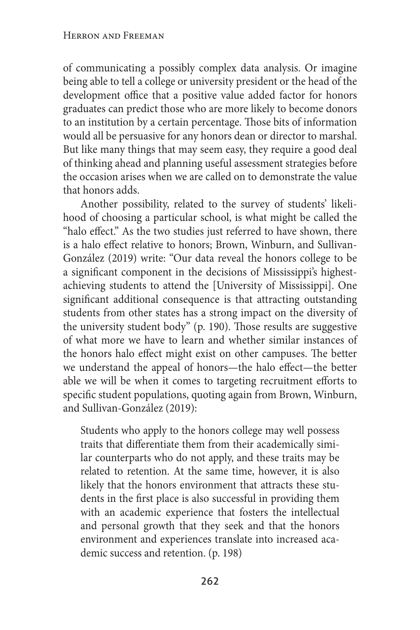of communicating a possibly complex data analysis. Or imagine being able to tell a college or university president or the head of the development office that a positive value added factor for honors graduates can predict those who are more likely to become donors to an institution by a certain percentage. Those bits of information would all be persuasive for any honors dean or director to marshal. But like many things that may seem easy, they require a good deal of thinking ahead and planning useful assessment strategies before the occasion arises when we are called on to demonstrate the value that honors adds.

Another possibility, related to the survey of students' likelihood of choosing a particular school, is what might be called the "halo effect." As the two studies just referred to have shown, there is a halo effect relative to honors; Brown, Winburn, and Sullivan-González (2019) write: "Our data reveal the honors college to be a significant component in the decisions of Mississippi's highestachieving students to attend the [University of Mississippi]. One significant additional consequence is that attracting outstanding students from other states has a strong impact on the diversity of the university student body" (p. 190). Those results are suggestive of what more we have to learn and whether similar instances of the honors halo effect might exist on other campuses. The better we understand the appeal of honors—the halo effect—the better able we will be when it comes to targeting recruitment efforts to specific student populations, quoting again from Brown, Winburn, and Sullivan-González (2019):

Students who apply to the honors college may well possess traits that differentiate them from their academically similar counterparts who do not apply, and these traits may be related to retention. At the same time, however, it is also likely that the honors environment that attracts these students in the first place is also successful in providing them with an academic experience that fosters the intellectual and personal growth that they seek and that the honors environment and experiences translate into increased academic success and retention. (p. 198)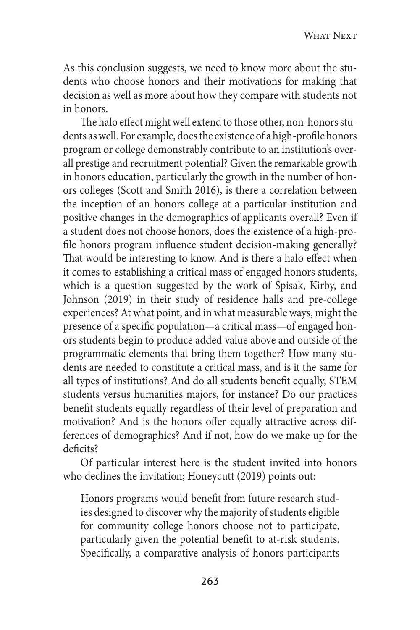As this conclusion suggests, we need to know more about the students who choose honors and their motivations for making that decision as well as more about how they compare with students not in honors.

The halo effect might well extend to those other, non-honors students as well. For example, does the existence of a high-profile honors program or college demonstrably contribute to an institution's overall prestige and recruitment potential? Given the remarkable growth in honors education, particularly the growth in the number of honors colleges (Scott and Smith 2016), is there a correlation between the inception of an honors college at a particular institution and positive changes in the demographics of applicants overall? Even if a student does not choose honors, does the existence of a high-profile honors program influence student decision-making generally? That would be interesting to know. And is there a halo effect when it comes to establishing a critical mass of engaged honors students, which is a question suggested by the work of Spisak, Kirby, and Johnson (2019) in their study of residence halls and pre-college experiences? At what point, and in what measurable ways, might the presence of a specific population—a critical mass—of engaged honors students begin to produce added value above and outside of the programmatic elements that bring them together? How many students are needed to constitute a critical mass, and is it the same for all types of institutions? And do all students benefit equally, STEM students versus humanities majors, for instance? Do our practices benefit students equally regardless of their level of preparation and motivation? And is the honors offer equally attractive across differences of demographics? And if not, how do we make up for the deficits?

Of particular interest here is the student invited into honors who declines the invitation; Honeycutt (2019) points out:

Honors programs would benefit from future research studies designed to discover why the majority of students eligible for community college honors choose not to participate, particularly given the potential benefit to at-risk students. Specifically, a comparative analysis of honors participants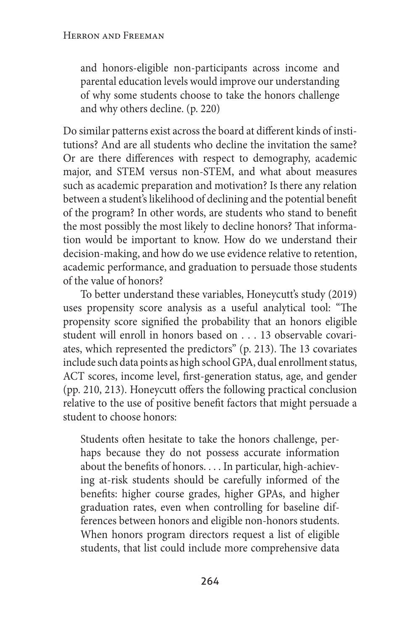and honors-eligible non-participants across income and parental education levels would improve our understanding of why some students choose to take the honors challenge and why others decline. (p. 220)

Do similar patterns exist across the board at different kinds of institutions? And are all students who decline the invitation the same? Or are there differences with respect to demography, academic major, and STEM versus non-STEM, and what about measures such as academic preparation and motivation? Is there any relation between a student's likelihood of declining and the potential benefit of the program? In other words, are students who stand to benefit the most possibly the most likely to decline honors? That information would be important to know. How do we understand their decision-making, and how do we use evidence relative to retention, academic performance, and graduation to persuade those students of the value of honors?

To better understand these variables, Honeycutt's study (2019) uses propensity score analysis as a useful analytical tool: "The propensity score signified the probability that an honors eligible student will enroll in honors based on . . . 13 observable covariates, which represented the predictors" (p. 213). The 13 covariates include such data points as high school GPA, dual enrollment status, ACT scores, income level, first-generation status, age, and gender (pp. 210, 213). Honeycutt offers the following practical conclusion relative to the use of positive benefit factors that might persuade a student to choose honors:

Students often hesitate to take the honors challenge, perhaps because they do not possess accurate information about the benefits of honors. . . . In particular, high-achieving at-risk students should be carefully informed of the benefits: higher course grades, higher GPAs, and higher graduation rates, even when controlling for baseline differences between honors and eligible non-honors students. When honors program directors request a list of eligible students, that list could include more comprehensive data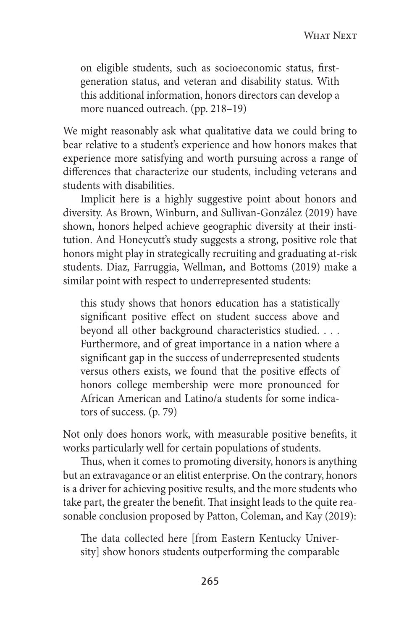on eligible students, such as socioeconomic status, firstgeneration status, and veteran and disability status. With this additional information, honors directors can develop a more nuanced outreach. (pp. 218–19)

We might reasonably ask what qualitative data we could bring to bear relative to a student's experience and how honors makes that experience more satisfying and worth pursuing across a range of differences that characterize our students, including veterans and students with disabilities.

Implicit here is a highly suggestive point about honors and diversity. As Brown, Winburn, and Sullivan-González (2019) have shown, honors helped achieve geographic diversity at their institution. And Honeycutt's study suggests a strong, positive role that honors might play in strategically recruiting and graduating at-risk students. Diaz, Farruggia, Wellman, and Bottoms (2019) make a similar point with respect to underrepresented students:

this study shows that honors education has a statistically significant positive effect on student success above and beyond all other background characteristics studied. . . . Furthermore, and of great importance in a nation where a significant gap in the success of underrepresented students versus others exists, we found that the positive effects of honors college membership were more pronounced for African American and Latino/a students for some indicators of success. (p. 79)

Not only does honors work, with measurable positive benefits, it works particularly well for certain populations of students.

Thus, when it comes to promoting diversity, honors is anything but an extravagance or an elitist enterprise. On the contrary, honors is a driver for achieving positive results, and the more students who take part, the greater the benefit. That insight leads to the quite reasonable conclusion proposed by Patton, Coleman, and Kay (2019):

The data collected here [from Eastern Kentucky University] show honors students outperforming the comparable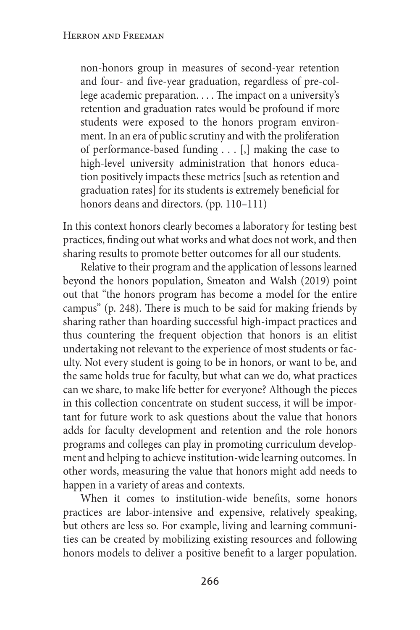non-honors group in measures of second-year retention and four- and five-year graduation, regardless of pre-college academic preparation. . . . The impact on a university's retention and graduation rates would be profound if more students were exposed to the honors program environment. In an era of public scrutiny and with the proliferation of performance-based funding . . . [,] making the case to high-level university administration that honors education positively impacts these metrics [such as retention and graduation rates] for its students is extremely beneficial for honors deans and directors. (pp. 110–111)

In this context honors clearly becomes a laboratory for testing best practices, finding out what works and what does not work, and then sharing results to promote better outcomes for all our students.

Relative to their program and the application of lessons learned beyond the honors population, Smeaton and Walsh (2019) point out that "the honors program has become a model for the entire campus" (p. 248). There is much to be said for making friends by sharing rather than hoarding successful high-impact practices and thus countering the frequent objection that honors is an elitist undertaking not relevant to the experience of most students or faculty. Not every student is going to be in honors, or want to be, and the same holds true for faculty, but what can we do, what practices can we share, to make life better for everyone? Although the pieces in this collection concentrate on student success, it will be important for future work to ask questions about the value that honors adds for faculty development and retention and the role honors programs and colleges can play in promoting curriculum development and helping to achieve institution-wide learning outcomes. In other words, measuring the value that honors might add needs to happen in a variety of areas and contexts.

When it comes to institution-wide benefits, some honors practices are labor-intensive and expensive, relatively speaking, but others are less so. For example, living and learning communities can be created by mobilizing existing resources and following honors models to deliver a positive benefit to a larger population.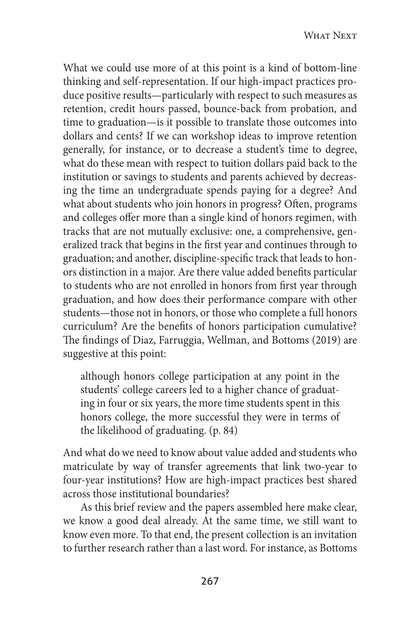What we could use more of at this point is a kind of bottom-line thinking and self-representation. If our high-impact practices produce positive results—particularly with respect to such measures as retention, credit hours passed, bounce-back from probation, and time to graduation—is it possible to translate those outcomes into dollars and cents? If we can workshop ideas to improve retention generally, for instance, or to decrease a student's time to degree, what do these mean with respect to tuition dollars paid back to the institution or savings to students and parents achieved by decreasing the time an undergraduate spends paying for a degree? And what about students who join honors in progress? Often, programs and colleges offer more than a single kind of honors regimen, with tracks that are not mutually exclusive: one, a comprehensive, generalized track that begins in the first year and continues through to graduation; and another, discipline-specific track that leads to honors distinction in a major. Are there value added benefits particular to students who are not enrolled in honors from first year through graduation, and how does their performance compare with other students—those not in honors, or those who complete a full honors curriculum? Are the benefits of honors participation cumulative? The findings of Diaz, Farruggia, Wellman, and Bottoms (2019) are suggestive at this point:

although honors college participation at any point in the students' college careers led to a higher chance of graduating in four or six years, the more time students spent in this honors college, the more successful they were in terms of the likelihood of graduating. (p. 84)

And what do we need to know about value added and students who matriculate by way of transfer agreements that link two-year to four-year institutions? How are high-impact practices best shared across those institutional boundaries?

As this brief review and the papers assembled here make clear, we know a good deal already. At the same time, we still want to know even more. To that end, the present collection is an invitation to further research rather than a last word. For instance, as Bottoms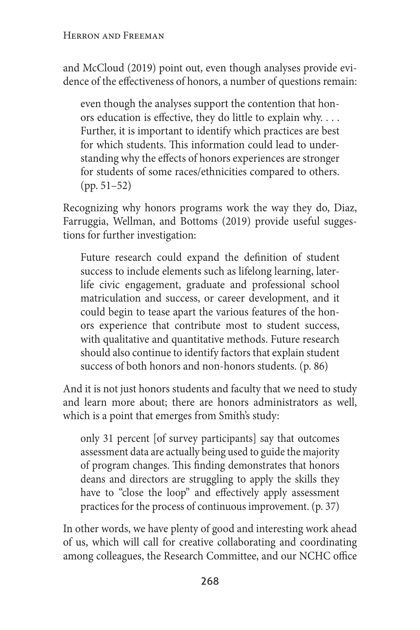and McCloud (2019) point out, even though analyses provide evidence of the effectiveness of honors, a number of questions remain:

even though the analyses support the contention that honors education is effective, they do little to explain why. . . . Further, it is important to identify which practices are best for which students. This information could lead to understanding why the effects of honors experiences are stronger for students of some races/ethnicities compared to others. (pp. 51–52)

Recognizing why honors programs work the way they do, Diaz, Farruggia, Wellman, and Bottoms (2019) provide useful suggestions for further investigation:

Future research could expand the definition of student success to include elements such as lifelong learning, laterlife civic engagement, graduate and professional school matriculation and success, or career development, and it could begin to tease apart the various features of the honors experience that contribute most to student success, with qualitative and quantitative methods. Future research should also continue to identify factors that explain student success of both honors and non-honors students. (p. 86)

And it is not just honors students and faculty that we need to study and learn more about; there are honors administrators as well, which is a point that emerges from Smith's study:

only 31 percent [of survey participants] say that outcomes assessment data are actually being used to guide the majority of program changes. This finding demonstrates that honors deans and directors are struggling to apply the skills they have to "close the loop" and effectively apply assessment practices for the process of continuous improvement. (p. 37)

In other words, we have plenty of good and interesting work ahead of us, which will call for creative collaborating and coordinating among colleagues, the Research Committee, and our NCHC office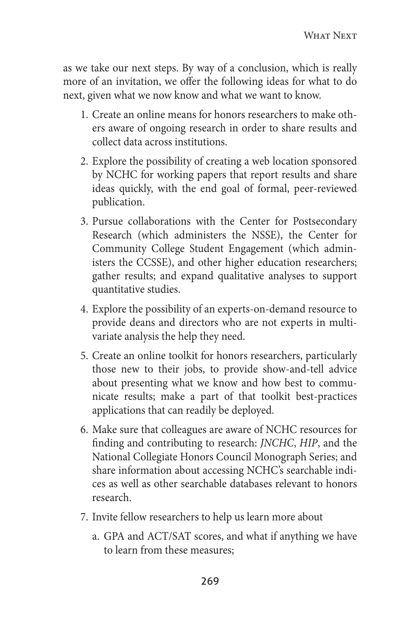as we take our next steps. By way of a conclusion, which is really more of an invitation, we offer the following ideas for what to do next, given what we now know and what we want to know.

- 1. Create an online means for honors researchers to make others aware of ongoing research in order to share results and collect data across institutions.
- 2. Explore the possibility of creating a web location sponsored by NCHC for working papers that report results and share ideas quickly, with the end goal of formal, peer-reviewed publication.
- 3. Pursue collaborations with the Center for Postsecondary Research (which administers the NSSE), the Center for Community College Student Engagement (which administers the CCSSE), and other higher education researchers; gather results; and expand qualitative analyses to support quantitative studies.
- 4. Explore the possibility of an experts-on-demand resource to provide deans and directors who are not experts in multivariate analysis the help they need.
- 5. Create an online toolkit for honors researchers, particularly those new to their jobs, to provide show-and-tell advice about presenting what we know and how best to communicate results; make a part of that toolkit best-practices applications that can readily be deployed.
- 6. Make sure that colleagues are aware of NCHC resources for finding and contributing to research: *JNCHC*, *HIP*, and the National Collegiate Honors Council Monograph Series; and share information about accessing NCHC's searchable indices as well as other searchable databases relevant to honors research.
- 7. Invite fellow researchers to help us learn more about
	- a. GPA and ACT/SAT scores, and what if anything we have to learn from these measures;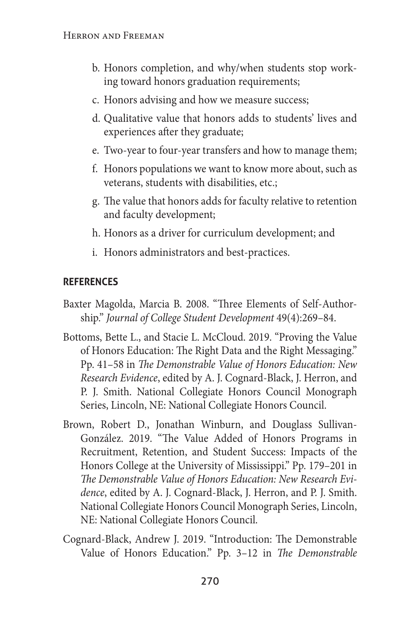- b. Honors completion, and why/when students stop working toward honors graduation requirements;
- c. Honors advising and how we measure success;
- d. Qualitative value that honors adds to students' lives and experiences after they graduate;
- e. Two-year to four-year transfers and how to manage them;
- f. Honors populations we want to know more about, such as veterans, students with disabilities, etc.;
- g. The value that honors adds for faculty relative to retention and faculty development;
- h. Honors as a driver for curriculum development; and
- i. Honors administrators and best-practices.

### **references**

- Baxter Magolda, Marcia B. 2008. "Three Elements of Self-Authorship." *Journal of College Student Development* 49(4):269–84.
- Bottoms, Bette L., and Stacie L. McCloud. 2019. "Proving the Value of Honors Education: The Right Data and the Right Messaging." Pp. 41–58 in *The Demonstrable Value of Honors Education: New Research Evidence*, edited by A. J. Cognard-Black, J. Herron, and P. J. Smith. National Collegiate Honors Council Monograph Series, Lincoln, NE: National Collegiate Honors Council.
- Brown, Robert D., Jonathan Winburn, and Douglass Sullivan-González. 2019. "The Value Added of Honors Programs in Recruitment, Retention, and Student Success: Impacts of the Honors College at the University of Mississippi." Pp. 179–201 in *The Demonstrable Value of Honors Education: New Research Evidence*, edited by A. J. Cognard-Black, J. Herron, and P. J. Smith. National Collegiate Honors Council Monograph Series, Lincoln, NE: National Collegiate Honors Council.
- Cognard-Black, Andrew J. 2019. "Introduction: The Demonstrable Value of Honors Education." Pp. 3–12 in *The Demonstrable*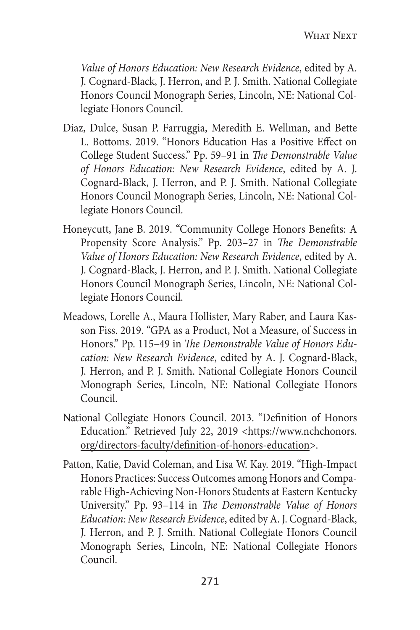*Value of Honors Education: New Research Evidence*, edited by A. J. Cognard-Black, J. Herron, and P. J. Smith. National Collegiate Honors Council Monograph Series, Lincoln, NE: National Collegiate Honors Council.

- Diaz, Dulce, Susan P. Farruggia, Meredith E. Wellman, and Bette L. Bottoms. 2019. "Honors Education Has a Positive Effect on College Student Success." Pp. 59–91 in *The Demonstrable Value of Honors Education: New Research Evidence*, edited by A. J. Cognard-Black, J. Herron, and P. J. Smith. National Collegiate Honors Council Monograph Series, Lincoln, NE: National Collegiate Honors Council.
- Honeycutt, Jane B. 2019. "Community College Honors Benefits: A Propensity Score Analysis." Pp. 203–27 in *The Demonstrable Value of Honors Education: New Research Evidence*, edited by A. J. Cognard-Black, J. Herron, and P. J. Smith. National Collegiate Honors Council Monograph Series, Lincoln, NE: National Collegiate Honors Council.
- Meadows, Lorelle A., Maura Hollister, Mary Raber, and Laura Kasson Fiss. 2019. "GPA as a Product, Not a Measure, of Success in Honors." Pp. 115–49 in *The Demonstrable Value of Honors Education: New Research Evidence*, edited by A. J. Cognard-Black, J. Herron, and P. J. Smith. National Collegiate Honors Council Monograph Series, Lincoln, NE: National Collegiate Honors Council.
- National Collegiate Honors Council. 2013. "Definition of Honors Education." Retrieved July 22, 2019 <https://www.nchchonors. org/directors-faculty/definition-of-honors-education>.
- Patton, Katie, David Coleman, and Lisa W. Kay. 2019. "High-Impact Honors Practices: Success Outcomes among Honors and Comparable High-Achieving Non-Honors Students at Eastern Kentucky University." Pp. 93–114 in *The Demonstrable Value of Honors Education: New Research Evidence*, edited by A. J. Cognard-Black, J. Herron, and P. J. Smith. National Collegiate Honors Council Monograph Series, Lincoln, NE: National Collegiate Honors Council.